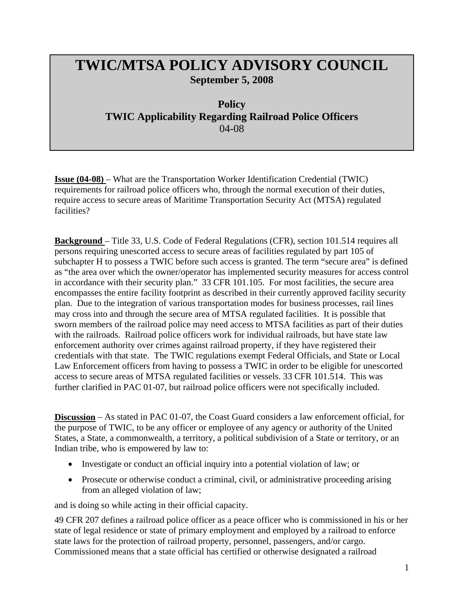## **TWIC/MTSA POLICY ADVISORY COUNCIL September 5, 2008**

**Policy TWIC Applicability Regarding Railroad Police Officers**  04-08

**Issue (04-08)** – What are the Transportation Worker Identification Credential (TWIC) requirements for railroad police officers who, through the normal execution of their duties, require access to secure areas of Maritime Transportation Security Act (MTSA) regulated facilities?

**Background** – Title 33, U.S. Code of Federal Regulations (CFR), section 101.514 requires all persons requiring unescorted access to secure areas of facilities regulated by part 105 of subchapter H to possess a TWIC before such access is granted. The term "secure area" is defined as "the area over which the owner/operator has implemented security measures for access control in accordance with their security plan." 33 CFR 101.105. For most facilities, the secure area encompasses the entire facility footprint as described in their currently approved facility security plan. Due to the integration of various transportation modes for business processes, rail lines may cross into and through the secure area of MTSA regulated facilities. It is possible that sworn members of the railroad police may need access to MTSA facilities as part of their duties with the railroads. Railroad police officers work for individual railroads, but have state law enforcement authority over crimes against railroad property, if they have registered their credentials with that state. The TWIC regulations exempt Federal Officials, and State or Local Law Enforcement officers from having to possess a TWIC in order to be eligible for unescorted access to secure areas of MTSA regulated facilities or vessels. 33 CFR 101.514. This was further clarified in PAC 01-07, but railroad police officers were not specifically included.

**Discussion** – As stated in PAC 01-07, the Coast Guard considers a law enforcement official, for the purpose of TWIC, to be any officer or employee of any agency or authority of the United States, a State, a commonwealth, a territory, a political subdivision of a State or territory, or an Indian tribe, who is empowered by law to:

- Investigate or conduct an official inquiry into a potential violation of law; or
- Prosecute or otherwise conduct a criminal, civil, or administrative proceeding arising from an alleged violation of law;

and is doing so while acting in their official capacity.

49 CFR 207 defines a railroad police officer as a peace officer who is commissioned in his or her state of legal residence or state of primary employment and employed by a railroad to enforce state laws for the protection of railroad property, personnel, passengers, and/or cargo. Commissioned means that a state official has certified or otherwise designated a railroad